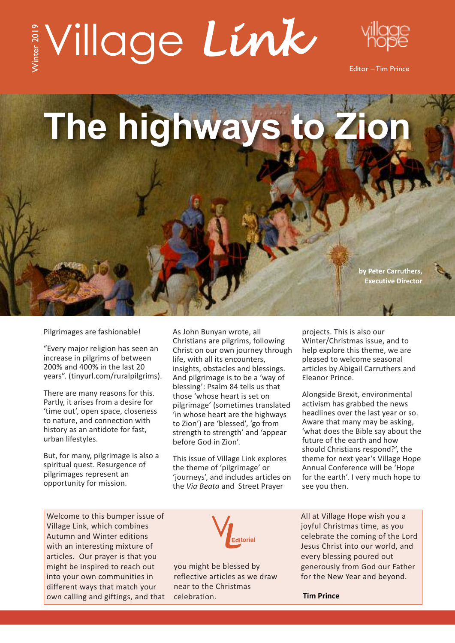## $\int_{\mathbb{R}} V$ illage Link Winter 2



Editor – Tim Prince

**The highways to Zion**

**by Peter Carruthers, Executive Director**

Pilgrimages are fashionable!

"Every major religion has seen an increase in pilgrims of between 200% and 400% in the last 20 years". (tinyurl.com/ruralpilgrims).

There are many reasons for this. Partly, it arises from a desire for 'time out', open space, closeness to nature, and connection with history as an antidote for fast, urban lifestyles.

But, for many, pilgrimage is also a spiritual quest. Resurgence of pilgrimages represent an opportunity for mission.

As John Bunyan wrote, all Christians are pilgrims, following Christ on our own journey through life, with all its encounters, insights, obstacles and blessings. And pilgrimage is to be a 'way of blessing': Psalm 84 tells us that those 'whose heart is set on pilgrimage' (sometimes translated 'in whose heart are the highways to Zion') are 'blessed', 'go from strength to strength' and 'appear before God in Zion'.

This issue of Village Link explores the theme of 'pilgrimage' or 'journeys', and includes articles on the *Via Beata* and Street Prayer

projects. This is also our Winter/Christmas issue, and to help explore this theme, we are pleased to welcome seasonal articles by Abigail Carruthers and Eleanor Prince.

Alongside Brexit, environmental activism has grabbed the news headlines over the last year or so. Aware that many may be asking, 'what does the Bible say about the future of the earth and how should Christians respond?', the theme for next year's Village Hope Annual Conference will be 'Hope for the earth'. I very much hope to see you then.

Welcome to this bumper issue of Village Link, which combines Autumn and Winter editions with an interesting mixture of articles. Our prayer is that you might be inspired to reach out into your own communities in different ways that match your own calling and giftings, and that



you might be blessed by reflective articles as we draw near to the Christmas celebration.

All at Village Hope wish you a joyful Christmas time, as you celebrate the coming of the Lord Jesus Christ into our world, and every blessing poured out generously from God our Father for the New Year and beyond.

**Tim Prince**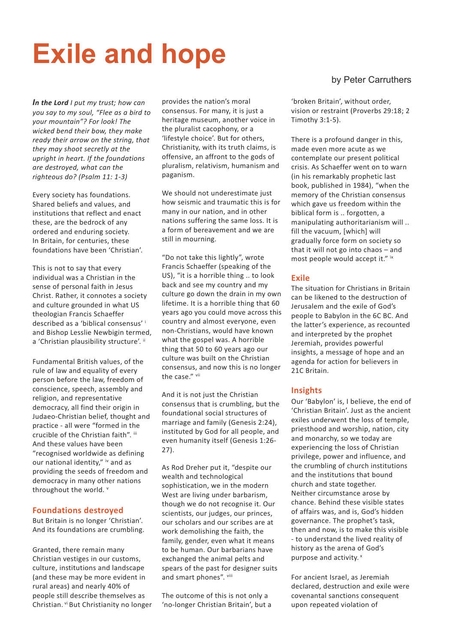## **Exile and hope**

*In the Lord I put my trust; how can you say to my soul, "Flee as a bird to your mountain"? For look! The wicked bend their bow, they make ready their arrow on the string, that they may shoot secretly at the upright in heart. If the foundations are destroyed, what can the righteous do? (Psalm 11: 1-3)*

Every society has foundations. Shared beliefs and values, and institutions that reflect and enact these, are the bedrock of any ordered and enduring society. In Britain, for centuries, these foundations have been 'Christian'.

This is not to say that every individual was a Christian in the sense of personal faith in Jesus Christ. Rather, it connotes a society and culture grounded in what US theologian Francis Schaeffer described as a 'biblical consensus' <sup>i</sup> and Bishop Lesslie Newbigin termed, a 'Christian plausibility structure'. ii

Fundamental British values, of the rule of law and equality of every person before the law, freedom of conscience, speech, assembly and religion, and representative democracy, all find their origin in Judaeo-Christian belief, thought and practice - all were "formed in the crucible of the Christian faith". iii And these values have been "recognised worldwide as defining our national identity," iv and as providing the seeds of freedom and democracy in many other nations throughout the world. v

#### **Foundations destroyed**

But Britain is no longer 'Christian'. And its foundations are crumbling.

Granted, there remain many Christian vestiges in our customs, culture, institutions and landscape (and these may be more evident in rural areas) and nearly 40% of people still describe themselves as Christian. vi But Christianity no longer provides the nation's moral consensus. For many, it is just a heritage museum, another voice in the pluralist cacophony, or a 'lifestyle choice'. But for others, Christianity, with its truth claims, is offensive, an affront to the gods of pluralism, relativism, humanism and paganism.

We should not underestimate just how seismic and traumatic this is for many in our nation, and in other nations suffering the same loss. It is a form of bereavement and we are still in mourning.

"Do not take this lightly", wrote Francis Schaeffer (speaking of the US), "it is a horrible thing .. to look back and see my country and my culture go down the drain in my own lifetime. It is a horrible thing that 60 years ago you could move across this country and almost everyone, even non-Christians, would have known what the gospel was. A horrible thing that 50 to 60 years ago our culture was built on the Christian consensus, and now this is no longer the case." vii

And it is not just the Christian consensus that is crumbling, but the foundational social structures of marriage and family (Genesis 2:24), instituted by God for all people, and even humanity itself (Genesis 1:26- 27).

As Rod Dreher put it, "despite our wealth and technological sophistication, we in the modern West are living under barbarism, though we do not recognise it. Our scientists, our judges, our princes, our scholars and our scribes are at work demolishing the faith, the family, gender, even what it means to be human. Our barbarians have exchanged the animal pelts and spears of the past for designer suits and smart phones". viii

The outcome of this is not only a 'no-longer Christian Britain', but a

#### by Peter Carruthers

'broken Britain', without order, vision or restraint (Proverbs 29:18; 2 Timothy 3:1-5).

There is a profound danger in this, made even more acute as we contemplate our present political crisis. As Schaeffer went on to warn (in his remarkably prophetic last book, published in 1984), "when the memory of the Christian consensus which gave us freedom within the biblical form is .. forgotten, a manipulating authoritarianism will .. fill the vacuum, [which] will gradually force form on society so that it will not go into chaos – and most people would accept it." ix

#### **Exile**

The situation for Christians in Britain can be likened to the destruction of Jerusalem and the exile of God's people to Babylon in the 6C BC. And the latter's experience, as recounted and interpreted by the prophet Jeremiah, provides powerful insights, a message of hope and an agenda for action for believers in 21C Britain.

#### **Insights**

Our 'Babylon' is, I believe, the end of 'Christian Britain'. Just as the ancient exiles underwent the loss of temple, priesthood and worship, nation, city and monarchy, so we today are experiencing the loss of Christian privilege, power and influence, and the crumbling of church institutions and the institutions that bound church and state together. Neither circumstance arose by chance. Behind these visible states of affairs was, and is, God's hidden governance. The prophet's task, then and now, is to make this visible - to understand the lived reality of history as the arena of God's purpose and activity.<sup>x</sup>

For ancient Israel, as Jeremiah declared, destruction and exile were covenantal sanctions consequent upon repeated violation of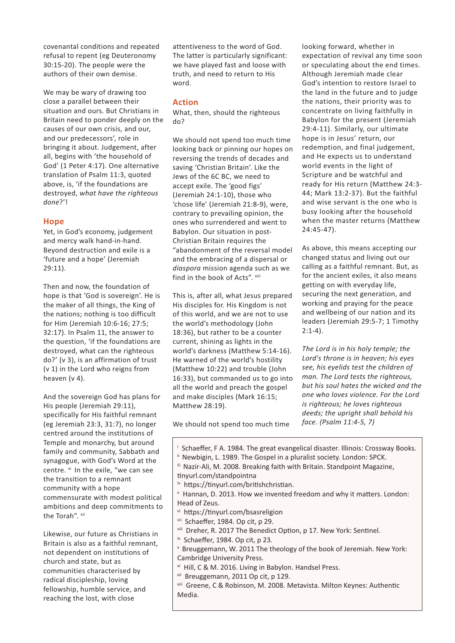covenantal conditions and repeated refusal to repent (eg Deuteronomy 30:15-20). The people were the authors of their own demise.

We may be wary of drawing too close a parallel between their situation and ours. But Christians in Britain need to ponder deeply on the causes of our own crisis, and our, and our predecessors', role in bringing it about. Judgement, after all, begins with 'the household of God' (1 Peter 4:17). One alternative translation of Psalm 11:3, quoted above, is, 'if the foundations are destroyed, *what have the righteous done*?'!

#### **Hope**

Yet, in God's economy, judgement and mercy walk hand-in-hand. Beyond destruction and exile is a 'future and a hope' (Jeremiah 29:11).

Then and now, the foundation of hope is that 'God is sovereign'. He is the maker of all things, the King of the nations; nothing is too difficult for Him (Jeremiah 10:6-16; 27:5; 32:17). In Psalm 11, the answer to the question, 'if the foundations are destroyed, what can the righteous do?' (v 3), is an affirmation of trust (v 1) in the Lord who reigns from heaven (v 4).

And the sovereign God has plans for His people (Jeremiah 29:11), specifically for His faithful remnant (eg Jeremiah 23:3, 31:7), no longer centred around the institutions of Temple and monarchy, but around family and community, Sabbath and synagogue, with God's Word at the centre. xi In the exile, "we can see the transition to a remnant community with a hope commensurate with modest political ambitions and deep commitments to the Torah". xii

Likewise, our future as Christians in Britain is also as a faithful remnant, not dependent on institutions of church and state, but as communities characterised by radical discipleship, loving fellowship, humble service, and reaching the lost, with close

attentiveness to the word of God. The latter is particularly significant: we have played fast and loose with truth, and need to return to His word.

#### **Action**

What, then, should the righteous do?

We should not spend too much time looking back or pinning our hopes on reversing the trends of decades and saving 'Christian Britain'. Like the Jews of the 6C BC, we need to accept exile. The 'good figs' (Jeremiah 24:1-10), those who 'chose life' (Jeremiah 21:8-9), were, contrary to prevailing opinion, the ones who surrendered and went to Babylon. Our situation in post-Christian Britain requires the "abandonment of the reversal model and the embracing of a dispersal or *diaspora* mission agenda such as we find in the book of Acts". xiii

This is, after all, what Jesus prepared His disciples for. His Kingdom is not of this world, and we are not to use the world's methodology (John 18:36), but rather to be a counter current, shining as lights in the world's darkness (Matthew 5:14-16). He warned of the world's hostility (Matthew 10:22) and trouble (John 16:33), but commanded us to go into all the world and preach the gospel and make disciples (Mark 16:15; Matthew 28:19).

We should not spend too much time

looking forward, whether in expectation of revival any time soon or speculating about the end times. Although Jeremiah made clear God's intention to restore Israel to the land in the future and to judge the nations, their priority was to concentrate on living faithfully in Babylon for the present (Jeremiah 29:4-11). Similarly, our ultimate hope is in Jesus' return, our redemption, and final judgement, and He expects us to understand world events in the light of Scripture and be watchful and ready for His return (Matthew 24:3- 44; Mark 13:2-37). But the faithful and wise servant is the one who is busy looking after the household when the master returns (Matthew 24:45-47).

As above, this means accepting our changed status and living out our calling as a faithful remnant. But, as for the ancient exiles, it also means getting on with everyday life, securing the next generation, and working and praying for the peace and wellbeing of our nation and its leaders (Jeremiah 29:5-7; 1 Timothy  $2:1-4$ ).

*The Lord is in his holy temple; the Lord's throne is in heaven; his eyes see, his eyelids test the children of man. The Lord tests the righteous, but his soul hates the wicked and the one who loves violence. For the Lord is righteous; he loves righteous deeds; the upright shall behold his face. (Psalm 11:4-5, 7)*

<sup>i</sup> Schaeffer, F A. 1984. The great evangelical disaster. Illinois: Crossway Books. ii Newbigin, L. 1989. The Gospel in a pluralist society. London: SPCK. iii Nazir-Ali, M. 2008. Breaking faith with Britain. Standpoint Magazine, tinyurl.com/standpointna iv https://tinyurl.com/britishchristian. <sup>v</sup> Hannan, D. 2013. How we invented freedom and why it matters. London: Head of Zeus. vi https://tinyurl.com/bsasreligion vii Schaeffer, 1984. Op cit, p 29. viii Dreher, R. 2017 The Benedict Option, p 17. New York: Sentinel. ix Schaeffer, 1984. Op cit, p 23.

- <sup>x</sup> Breuggemann, W. 2011 The theology of the book of Jeremiah. New York: Cambridge University Press.
- xi Hill, C & M. 2016. Living in Babylon. Handsel Press.
- xii Breuggemann, 2011 Op cit, p 129.

xiii Greene, C & Robinson, M. 2008. Metavista. Milton Keynes: Authentic Media.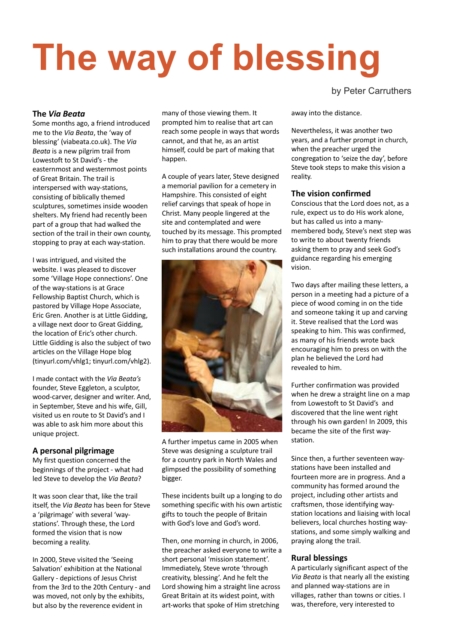# **The way of blessing**

by Peter Carruthers

#### **The** *Via Beata*

Some months ago, a friend introduced me to the *Via Beata*, the 'way of blessing' (viabeata.co.uk). The *Via Beata* is a new pilgrim trail from Lowestoft to St David's - the easternmost and westernmost points of Great Britain. The trail is interspersed with way-stations, consisting of biblically themed sculptures, sometimes inside wooden shelters. My friend had recently been part of a group that had walked the section of the trail in their own county, stopping to pray at each way-station.

I was intrigued, and visited the website. I was pleased to discover some 'Village Hope connections'. One of the way-stations is at Grace Fellowship Baptist Church, which is pastored by Village Hope Associate, Eric Gren. Another is at Little Gidding, a village next door to Great Gidding, the location of Eric's other church. Little Gidding is also the subject of two articles on the Village Hope blog (tinyurl.com/vhlg1; tinyurl.com/vhlg2).

I made contact with the *Via Beata's* founder, Steve Eggleton, a sculptor, wood-carver, designer and writer. And, in September, Steve and his wife, Gill, visited us en route to St David's and I was able to ask him more about this unique project.

#### **A personal pilgrimage**

My first question concerned the beginnings of the project - what had led Steve to develop the *Via Beata*?

It was soon clear that, like the trail itself, the *Via Beata* has been for Steve a 'pilgrimage' with several 'waystations'. Through these, the Lord formed the vision that is now becoming a reality.

In 2000, Steve visited the 'Seeing Salvation' exhibition at the National Gallery - depictions of Jesus Christ from the 3rd to the 20th Century - and was moved, not only by the exhibits, but also by the reverence evident in

many of those viewing them. It prompted him to realise that art can reach some people in ways that words cannot, and that he, as an artist himself, could be part of making that happen.

A couple of years later, Steve designed a memorial pavilion for a cemetery in Hampshire. This consisted of eight relief carvings that speak of hope in Christ. Many people lingered at the site and contemplated and were touched by its message. This prompted him to pray that there would be more such installations around the country.



A further impetus came in 2005 when Steve was designing a sculpture trail for a country park in North Wales and glimpsed the possibility of something bigger.

These incidents built up a longing to do something specific with his own artistic gifts to touch the people of Britain with God's love and God's word.

Then, one morning in church, in 2006, the preacher asked everyone to write a short personal 'mission statement'. Immediately, Steve wrote 'through creativity, blessing'. And he felt the Lord showing him a straight line across Great Britain at its widest point, with art-works that spoke of Him stretching

away into the distance.

Nevertheless, it was another two years, and a further prompt in church, when the preacher urged the congregation to 'seize the day', before Steve took steps to make this vision a reality.

#### **The vision confirmed**

Conscious that the Lord does not, as a rule, expect us to do His work alone, but has called us into a manymembered body, Steve's next step was to write to about twenty friends asking them to pray and seek God's guidance regarding his emerging vision.

Two days after mailing these letters, a person in a meeting had a picture of a piece of wood coming in on the tide and someone taking it up and carving it. Steve realised that the Lord was speaking to him. This was confirmed, as many of his friends wrote back encouraging him to press on with the plan he believed the Lord had revealed to him.

Further confirmation was provided when he drew a straight line on a map from Lowestoft to St David's and discovered that the line went right through his own garden! In 2009, this became the site of the first waystation.

Since then, a further seventeen waystations have been installed and fourteen more are in progress. And a community has formed around the project, including other artists and craftsmen, those identifying waystation locations and liaising with local believers, local churches hosting waystations, and some simply walking and praying along the trail.

#### **Rural blessings**

A particularly significant aspect of the *Via Beata* is that nearly all the existing and planned way-stations are in villages, rather than towns or cities. I was, therefore, very interested to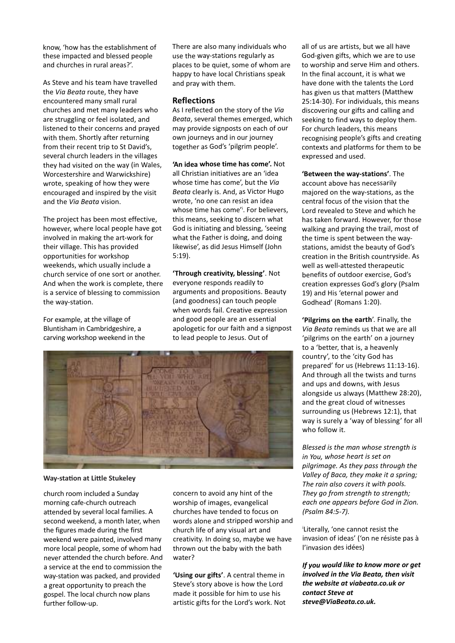know, 'how has the establishment of these impacted and blessed people and churches in rural areas?'.

As Steve and his team have travelled the *Via Beata* route, they have encountered many small rural churches and met many leaders who are struggling or feel isolated, and listened to their concerns and prayed with them. Shortly after returning from their recent trip to St David's, several church leaders in the villages they had visited on the way (in Wales, Worcestershire and Warwickshire) wrote, speaking of how they were encouraged and inspired by the visit and the *Via Beata* vision.

The project has been most effective, however, where local people have got involved in making the art-work for their village. This has provided opportunities for workshop weekends, which usually include <sup>a</sup> church service of one sort or another. And when the work is complete, there is <sup>a</sup> service of blessing to commission the way-station.

For example, at the village of Bluntisham in Cambridgeshire, <sup>a</sup> carving workshop weekend in the There are also many individuals who use the way-stations regularly as places to be quiet, some of whom are happy to have local Christians speak and pray with them.

#### **Reflections**

As I reflected on the story of the *Via Beata*, several themes emerged, which may provide signposts on each of our own journeys and in our journey together as God's 'pilgrim people'.

**'An idea whose time has come'.** Not all Christian initiatives are an 'idea whose time has come', but the *Via Beata* clearly is. And, as Victor Hugo wrote, 'no one can resist an idea whose time has come' i . For believers, this means, seeking to discern what God is initiating and blessing, 'seeing what the Father is doing, and doing likewise', as did Jesus Himself (John 5:19).

**'Through creativity, blessing'**. Not everyone responds readily to arguments and propositions. Beauty (and goodness) can touch people when words fail. Creative expression and good people are an essential apologetic for our faith and <sup>a</sup> signpost to lead people to Jesus. Out of



**Way-station at Little Stukeley**

church room included <sup>a</sup> Sunday morning cafe-church outreach attended by several local families. A second weekend, <sup>a</sup> month later, when the figures made during the first weekend were painted, involved many more local people, some of whom had never attended the church before. And <sup>a</sup> service at the end to commission the way-station was packed, and provided <sup>a</sup> great opportunity to preach the gospel. The local church now plans further follow-up.

concern to avoid any hint of the worship of images, evangelical churches have tended to focus on words alone and stripped worship and church life of any visual art and creativity. In doing so, maybe we have thrown out the baby with the bath water?

**'Using our gifts'**. A central theme in Steve's story above is how the Lord made it possible for him to use his artistic gifts for the Lord's work. Not all of us are artists, but we all have God-given gifts, which we are to use to worship and serve Him and others. In the final account, it is what we have done with the talents the Lord has given us that matters (Matthew 25:14-30). For individuals, this means discovering our gifts and calling and seeking to find ways to deploy them. For church leaders, this means recognising people's gifts and creating contexts and platforms for them to be expressed and used.

**'Between the way-stations'**. The account above has necessarily majored on the way-stations, as the central focus of the vision that the Lord revealed to Steve and which he has taken forward. However, for those walking and praying the trail, most of the time is spent between the waystations, amidst the beauty of God's creation in the British countryside. As well as well-attested therapeutic benefits of outdoor exercise, God's creation expresses God's glory (Psalm 19) and His 'eternal power and Godhead' (Romans 1:20).

**'Pilgrims on the earth**'. Finally, the *Via Beata* reminds us that we are all 'pilgrims on the earth' on <sup>a</sup> journey to <sup>a</sup> 'better, that is, <sup>a</sup> heavenly country', to the 'city God has prepared' for us (Hebrews 11:13-16). And through all the twists and turns and ups and downs, with Jesus alongside us always (Matthew 28:20), and the great cloud of witnesses surrounding us (Hebrews 12:1), that way is surely <sup>a</sup> 'way of blessing' for all who follow it.

*Blessed is the man whose strength is in You, whose heart is set on pilgrimage. As they pass through the Valley of Baca, they make it <sup>a</sup> spring; The rain also covers it with pools. They go from strength to strength; each one appears before God in Zion. (Psalm 84:5-7).*

i Literally, 'one cannot resist the invasion of ideas' ('on ne résiste pas à l'invasion des idées)

*If you would like to know more or get involved in the Via Beata, then visit the website at viabeata.co.uk or contact Steve at steve@ViaBeata.co.uk.*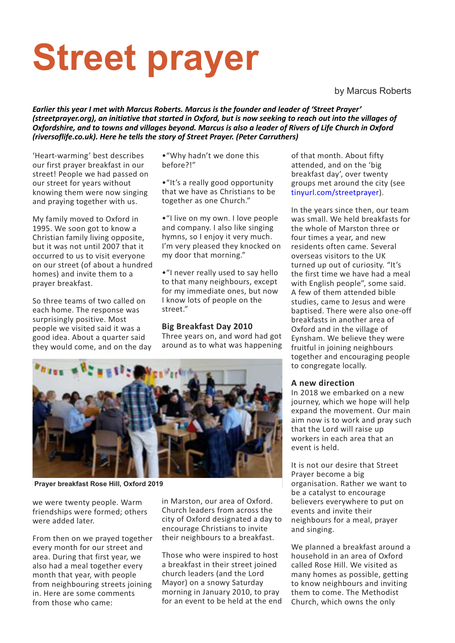# **Street prayer**

by Marcus Roberts

*Earlier this year I met with Marcus Roberts. Marcus is the founder and leader of 'Street Prayer'* (streetprayer.org), an initiative that started in Oxford, but is now seeking to reach out into the villages of Oxfordshire, and to towns and villages beyond. Marcus is also a leader of Rivers of Life Church in Oxford *(riversoflife.co.uk). Here he tells the story of Street Prayer. (Peter Carruthers)*

'Heart-warming' best describes our first prayer breakfast in our street! People we had passed on our street for years without knowing them were now singing and praying together with us.

My family moved to Oxford in 1995. We soon got to know a Christian family living opposite, but it was not until 2007 that it occurred to us to visit everyone on our street (of about a hundred homes) and invite them to a prayer breakfast.

So three teams of two called on each home. The response was surprisingly positive. Most people we visited said it was a good idea. About a quarter said they would come, and on the day •"Why hadn't we done this before?!"

•"It's a really good opportunity that we have as Christians to be together as one Church."

•"I live on my own. I love people and company. I also like singing hymns, so I enjoy it very much. I'm very pleased they knocked on my door that morning."

•"I never really used to say hello to that many neighbours, except for my immediate ones, but now I know lots of people on the street."

#### **Big Breakfast Day 2010**

Three years on, and word had got around as to what was happening



**Prayer breakfast Rose Hill, Oxford 2019**

we were twenty people. Warm friendships were formed; others were added later.

From then on we prayed together every month for our street and area. During that first year, we also had a meal together every month that year, with people from neighbouring streets joining in. Here are some comments from those who came:

in Marston, our area of Oxford. Church leaders from across the city of Oxford designated a day to encourage Christians to invite their neighbours to a breakfast.

Those who were inspired to host a breakfast in their street joined church leaders (and the Lord Mayor) on a snowy Saturday morning in January 2010, to pray for an event to be held at the end of that month. About fifty attended, and on the 'big breakfast day', over twenty groups met around the city (see tinyurl.com/streetprayer).

In the years since then, our team was small. We held breakfasts for the whole of Marston three or four times a year, and new residents often came. Several overseas visitors to the UK turned up out of curiosity. "It's the first time we have had a meal with English people", some said. A few of them attended bible studies, came to Jesus and were baptised. There were also one-off breakfasts in another area of Oxford and in the village of Eynsham. We believe they were fruitful in joining neighbours together and encouraging people to congregate locally.

#### **A new direction**

In 2018 we embarked on a new journey, which we hope will help expand the movement. Our main aim now is to work and pray such that the Lord will raise up workers in each area that an event is held.

It is not our desire that Street Prayer become a big organisation. Rather we want to be a catalyst to encourage believers everywhere to put on events and invite their neighbours for a meal, prayer and singing.

We planned a breakfast around a household in an area of Oxford called Rose Hill. We visited as many homes as possible, getting to know neighbours and inviting them to come. The Methodist Church, which owns the only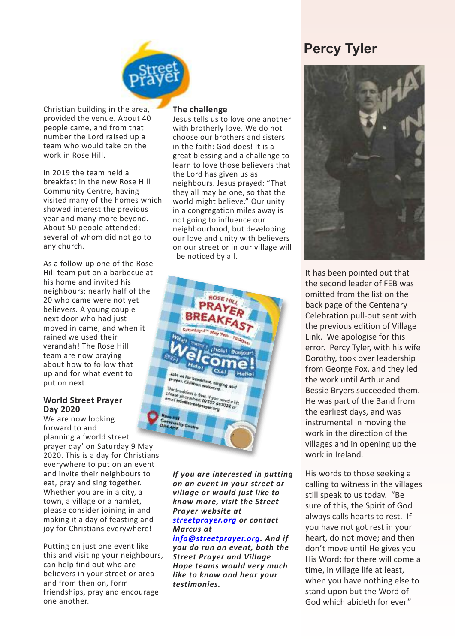### **Percy Tyler**



Christian building in the area, provided the venue. About 40 people came, and from that number the Lord raised up a team who would take on the work in Rose Hill.

In 2019 the team held a breakfast in the new Rose Hill Community Centre, having visited many of the homes which showed interest the previous year and many more beyond. About 50 people attended; several of whom did not go to any church.

As a follow-up one of the Rose Hill team put on a barbecue at his home and invited his neighbours; nearly half of the 20 who came were not yet believers. A young couple next door who had just moved in came, and when it rained we used their verandah! The Rose Hill team are now praying about how to follow that up and for what event to put on next.

#### **World Street Prayer Day 2020**

We are now looking forward to and planning a 'world street prayer day' on Saturday 9 May 2020. This is a day for Christians everywhere to put on an event and invite their neighbours to eat, pray and sing together. Whether you are in a city, a town, a village or a hamlet, please consider joining in and making it a day of feasting and joy for Christians everywhere!

Putting on just one event like this and visiting your neighbours, can help find out who are believers in your street or area and from then on, form friendships, pray and encourage one another.

#### **The challenge**

Jesus tells us to love one another with brotherly love. We do not choose our brothers and sisters in the faith: God does! It is a great blessing and a challenge to learn to love those believers that the Lord has given us as neighbours. Jesus prayed: "That they all may be one, so that the world might believe." Our unity in a congregation miles away is not going to influence our neighbourhood, but developing our love and unity with believers on our street or in our village will be noticed by all.



*If you are interested in putting on an event in your street or village or would just like to know more, visit the Street Prayer website at streetprayer.org or contact Marcus at*

*info@streetprayer.org. And if you do run an event, both the Street Prayer and Village Hope teams would very much like to know and hear your testimonies.*



It has been pointed out that the second leader of FEB was omitted from the list on the back page of the Centenary Celebration pull-out sent with the previous edition of Village Link. We apologise for this error. Percy Tyler, with his wife Dorothy, took over leadership from George Fox, and they led the work until Arthur and Bessie Bryers succeeded them. He was part of the Band from the earliest days, and was instrumental in moving the work in the direction of the villages and in opening up the work in Ireland.

His words to those seeking a calling to witness in the villages still speak to us today. "Be sure of this, the Spirit of God always calls hearts to rest. If you have not got rest in your heart, do not move; and then don't move until He gives you His Word; for there will come a time, in village life at least, when you have nothing else to stand upon but the Word of God which abideth for ever."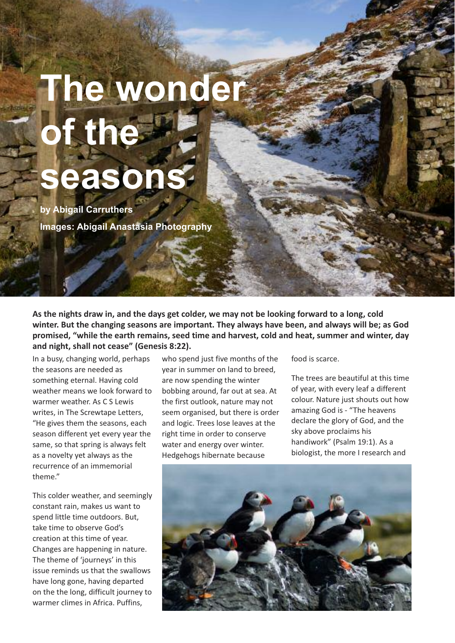## **The wonder of the seasons**

**by Abigail Carruthers Images: Abigail Anastasia Photography**

As the nights draw in, and the days get colder, we may not be looking forward to a long, cold **winter. But the changing seasons are important. They always have been, and always will be; as God promised, "while the earth remains, seed time and harvest, cold and heat, summer and winter, day and night, shall not cease" (Genesis 8:22).**

In a busy, changing world, perhaps the seasons are needed as something eternal. Having cold weather means we look forward to warmer weather. As C S Lewis writes, in The Screwtape Letters, "He gives them the seasons, each season different yet every year the same, so that spring is always felt as a novelty yet always as the recurrence of an immemorial theme."

This colder weather, and seemingly constant rain, makes us want to spend little time outdoors. But, take time to observe God's creation at this time of year. Changes are happening in nature. The theme of 'journeys' in this issue reminds us that the swallows have long gone, having departed on the the long, difficult journey to warmer climes in Africa. Puffins,

who spend just five months of the year in summer on land to breed, are now spending the winter bobbing around, far out at sea. At the first outlook, nature may not seem organised, but there is order and logic. Trees lose leaves at the right time in order to conserve water and energy over winter. Hedgehogs hibernate because

food is scarce.

The trees are beautiful at this time of year, with every leaf a different colour. Nature just shouts out how amazing God is - "The heavens declare the glory of God, and the sky above proclaims his handiwork" (Psalm 19:1). As a biologist, the more I research and

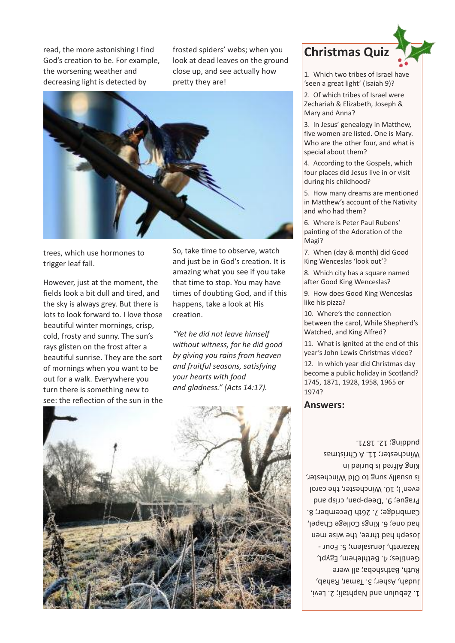read, the more astonishing I find God's creation to be. For example, the worsening weather and decreasing light is detected by

frosted spiders' webs; when you look at dead leaves on the ground close up, and see actually how pretty they are!



trees, which use hormones to trigger leaf fall.

However, just at the moment, the fields look a bit dull and tired, and the sky is always grey. But there is lots to look forward to. I love those beautiful winter mornings, crisp, cold, frosty and sunny. The sun's rays glisten on the frost after a beautiful sunrise. They are the sort of mornings when you want to be out for a walk. Everywhere you turn there is something new to see: the reflection of the sun in the

So, take time to observe, watch and just be in God's creation. It is amazing what you see if you take that time to stop. You may have times of doubting God, and if this happens, take a look at His creation.

*"Yet he did not leave himself without witness, for he did good by giving you rains from heaven and fruitful seasons, satisfying your hearts with food and gladness." (Acts 14:17).*





1. Which two tribes of Israel have 'seen a great light' (Isaiah 9)?

2. Of which tribes of Israel were Zechariah & Elizabeth, Joseph & Mary and Anna?

3. In Jesus' genealogy in Matthew, five women are listed. One is Mary. Who are the other four, and what is special about them?

4. According to the Gospels, which four places did Jesus live in or visit during his childhood?

5. How many dreams are mentioned in Matthew's account of the Nativity and who had them?

6. Where is Peter Paul Rubens' painting of the Adoration of the Magi?

7. When (day & month) did Good King Wenceslas 'look out'?

8. Which city has a square named after Good King Wenceslas?

9. How does Good King Wenceslas like his pizza?

10. Where's the connection between the carol, While Shepherd's Watched, and King Alfred?

11. What is ignited at the end of this year's John Lewis Christmas video?

12. In which year did Christmas day become a public holiday in Scotland? 1745, 1871, 1928, 1958, 1965 or 1974?

#### **Answers:**

1. Zepulun and Naphtali; 2. Levi, Judah, Asher; 3. Tamar, Rahab, Kuth, Bathsheba; all were Gentiles; 4. Bethlehem, Egypt, Nazareth, Jerusalem; 5. Four -Joseb had three, the wise men pad oue) er kings College Chapel, Cambridge; 7. 26th December; 8. Prague; 9. Deep-pan, crisp and even'!; 10. Winchester, the carol is nensly and Go Old Minchester, King Altred is buried in Winchester; 11. A Christmas Buppnd: J811'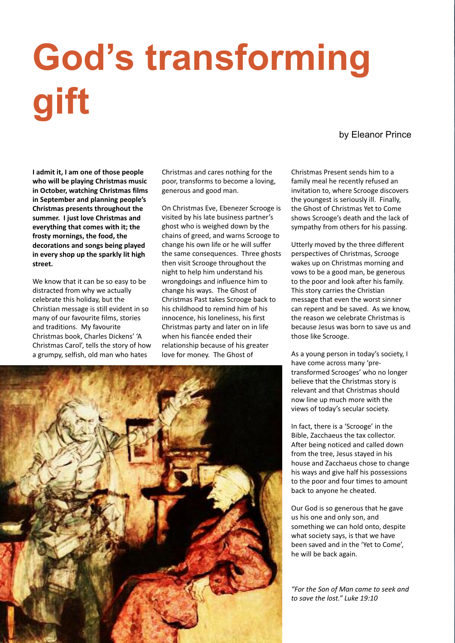# **God's transforming gift**

#### by Eleanor Prince

**I admit it, I am one of those people who will be playing Christmas music in October, watching Christmas films in September and planning people's Christmas presents throughout the summer. I just love Christmas and everything that comes with it; the frosty mornings, the food, the decorations and songs being played in every shop up the sparkly lit high street.**

We know that it can be so easy to be distracted from why we actually celebrate this holiday, but the Christian message is still evident in so many of our favourite films, stories and traditions. My favourite Christmas book, Charles Dickens' 'A Christmas Carol', tells the story of how a grumpy, selfish, old man who hates

Christmas and cares nothing for the poor, transforms to become a loving, generous and good man.

On Christmas Eve, Ebenezer Scrooge is visited by his late business partner's ghost who is weighed down by the chains of greed, and warns Scrooge to change his own life or he will suffer the same consequences. Three ghosts then visit Scrooge throughout the night to help him understand his wrongdoings and influence him to change his ways. The Ghost of Christmas Past takes Scrooge back to his childhood to remind him of his innocence, his loneliness, his first Christmas party and later on in life when his fiancée ended their relationship because of his greater love for money. The Ghost of

Christmas Present sends him to a family meal he recently refused an invitation to, where Scrooge discovers the youngest is seriously ill. Finally, the Ghost of Christmas Yet to Come shows Scrooge's death and the lack of sympathy from others for his passing.

Utterly moved by the three different perspectives of Christmas, Scrooge wakes up on Christmas morning and vows to be a good man, be generous to the poor and look after his family. This story carries the Christian message that even the worst sinner can repent and be saved. As we know, the reason we celebrate Christmas is because Jesus was born to save us and those like Scrooge.

As a young person in today's society, I have come across many 'pretransformed Scrooges' who no longer believe that the Christmas story is relevant and that Christmas should now line up much more with the views of today's secular society.

In fact, there is a 'Scrooge' in the Bible, Zacchaeus the tax collector. After being noticed and called down from the tree, Jesus stayed in his house and Zacchaeus chose to change his ways and give half his possessions to the poor and four times to amount back to anyone he cheated.

Our God is so generous that he gave us his one and only son, and something we can hold onto, despite what society says, is that we have been saved and in the 'Yet to Come', he will be back again.

*"For the Son of Man came to seek and to save the lost." Luke 19:10*

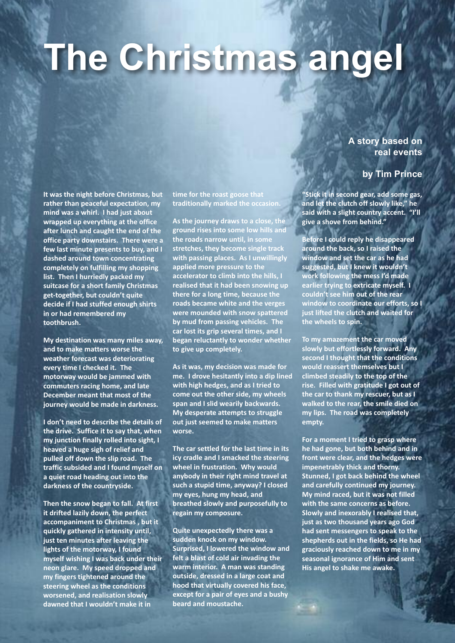# **The Christmas angel**

**A story based on real events**

#### **by Tim Prince**

**It was the night before Christmas, but rather than peaceful expectation, my mind was a whirl. I had just about wrapped up everything at the office after lunch and caught the end of the office party downstairs. There were a few last minute presents to buy, and I dashed around town concentrating completely on fulfilling my shopping list. Then I hurriedly packed my suitcase for a short family Christmas get-together, but couldn't quite decide if I had stuffed enough shirts in or had remembered my toothbrush.**

**My destination was many miles away, and to make matters worse the weather forecast was deteriorating every time I checked it. The motorway would be jammed with commuters racing home, and late December meant that most of the journey would be made in darkness.**

**I don't need to describe the details of the drive. Suffice it to say that, when my junction finally rolled into sight, I heaved a huge sigh of relief and pulled off down the slip road. The traffic subsided and I found myself on a quiet road heading out into the darkness of the countryside.**

**Then the snow began to fall. At first it drifted lazily down, the perfect accompaniment to Christmas , but it quickly gathered in intensity until, just ten minutes after leaving the lights of the motorway, I found myself wishing I was back under their neon glare. My speed dropped and my fingers tightened around the steering wheel as the conditions worsened, and realisation slowly dawned that I wouldn't make it in**

**time for the roast goose that traditionally marked the occasion.**

**As the journey draws to a close, the ground rises into some low hills and the roads narrow until, in some stretches, they become single track with passing places. As I unwillingly applied more pressure to the accelerator to climb into the hills, I realised that it had been snowing up there for a long time, because the roads became white and the verges were mounded with snow spattered by mud from passing vehicles. The car lost its grip several times, and I began reluctantly to wonder whether to give up completely.**

**As it was, my decision was made for me. I drove hesitantly into a dip lined with high hedges, and as I tried to come out the other side, my wheels span and I slid wearily backwards. My desperate attempts to struggle out just seemed to make matters worse.**

**The car settled for the last time in its icy cradle and I smacked the steering wheel in frustration. Why would anybody in their right mind travel at such a stupid time, anyway? I closed my eyes, hung my head, and breathed slowly and purposefully to regain my composure.**

**Quite unexpectedly there was a sudden knock on my window. Surprised, I lowered the window and felt a blast of cold air invading the warm interior. A man was standing outside, dressed in a large coat and hood that virtually covered his face, except for a pair of eyes and a bushy beard and moustache.**

**"Stick it in second gear, add some gas, and let the clutch off slowly like," he said with a slight country accent. "I'll give a shove from behind."**

**Before I could reply he disappeared around the back, so I raised the window and set the car as he had suggested, but I knew it wouldn't work following the mess I'd made earlier trying to extricate myself. I couldn't see him out of the rear window to coordinate our efforts, so I just lifted the clutch and waited for the wheels to spin.**

**To my amazement the car moved slowly but effortlessly forward. Any second I thought that the conditions would reassert themselves but I climbed steadily to the top of the rise. Filled with gratitude I got out of the car to thank my rescuer, but as I walked to the rear, the smile died on my lips. The road was completely empty.**

**For a moment I tried to grasp where he had gone, but both behind and in front were clear, and the hedges were impenetrably thick and thorny. Stunned, I got back behind the wheel and carefully continued my journey. My mind raced, but it was not filled with the same concerns as before. Slowly and inexorably I realised that, just as two thousand years ago God had sent messengers to speak to the shepherds out in the fields, so He had graciously reached down to me in my seasonal ignorance of Him and sent His angel to shake me awake.**